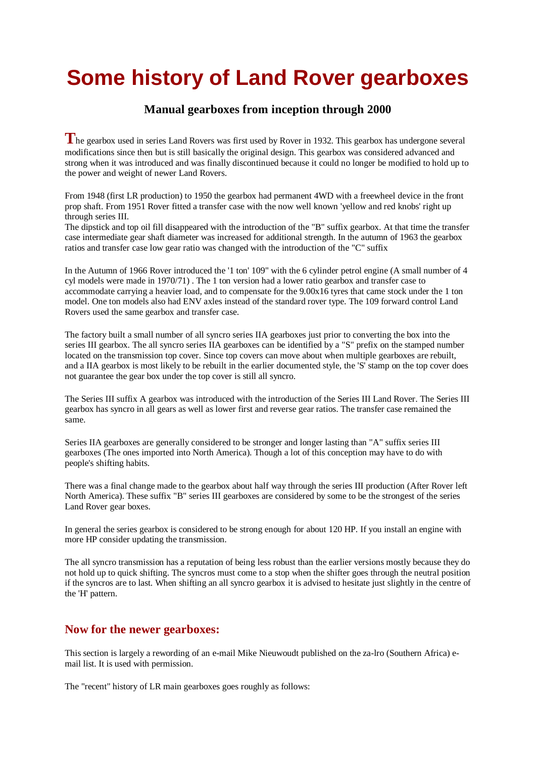## **Some history of Land Rover gearboxes**

## **Manual gearboxes from inception through 2000**

**T**he gearbox used in series Land Rovers was first used by Rover in 1932. This gearbox has undergone several modifications since then but is still basically the original design. This gearbox was considered advanced and strong when it was introduced and was finally discontinued because it could no longer be modified to hold up to the power and weight of newer Land Rovers.

From 1948 (first LR production) to 1950 the gearbox had permanent 4WD with a freewheel device in the front prop shaft. From 1951 Rover fitted a transfer case with the now well known 'yellow and red knobs' right up through series III.

The dipstick and top oil fill disappeared with the introduction of the "B" suffix gearbox. At that time the transfer case intermediate gear shaft diameter was increased for additional strength. In the autumn of 1963 the gearbox ratios and transfer case low gear ratio was changed with the introduction of the "C" suffix

In the Autumn of 1966 Rover introduced the '1 ton' 109" with the 6 cylinder petrol engine (A small number of 4 cyl models were made in 1970/71) . The 1 ton version had a lower ratio gearbox and transfer case to accommodate carrying a heavier load, and to compensate for the 9.00x16 tyres that came stock under the 1 ton model. One ton models also had ENV axles instead of the standard rover type. The 109 forward control Land Rovers used the same gearbox and transfer case.

The factory built a small number of all syncro series IIA gearboxes just prior to converting the box into the series III gearbox. The all syncro series IIA gearboxes can be identified by a "S" prefix on the stamped number located on the transmission top cover. Since top covers can move about when multiple gearboxes are rebuilt, and a IIA gearbox is most likely to be rebuilt in the earlier documented style, the 'S' stamp on the top cover does not guarantee the gear box under the top cover is still all syncro.

The Series III suffix A gearbox was introduced with the introduction of the Series III Land Rover. The Series III gearbox has syncro in all gears as well as lower first and reverse gear ratios. The transfer case remained the same.

Series IIA gearboxes are generally considered to be stronger and longer lasting than "A" suffix series III gearboxes (The ones imported into North America). Though a lot of this conception may have to do with people's shifting habits.

There was a final change made to the gearbox about half way through the series III production (After Rover left North America). These suffix "B" series III gearboxes are considered by some to be the strongest of the series Land Rover gear boxes.

In general the series gearbox is considered to be strong enough for about 120 HP. If you install an engine with more HP consider updating the transmission.

The all syncro transmission has a reputation of being less robust than the earlier versions mostly because they do not hold up to quick shifting. The syncros must come to a stop when the shifter goes through the neutral position if the syncros are to last. When shifting an all syncro gearbox it is advised to hesitate just slightly in the centre of the 'H' pattern.

## **Now for the newer gearboxes:**

This section is largely a rewording of an e-mail Mike Nieuwoudt published on the za-lro (Southern Africa) email list. It is used with permission.

The "recent" history of LR main gearboxes goes roughly as follows: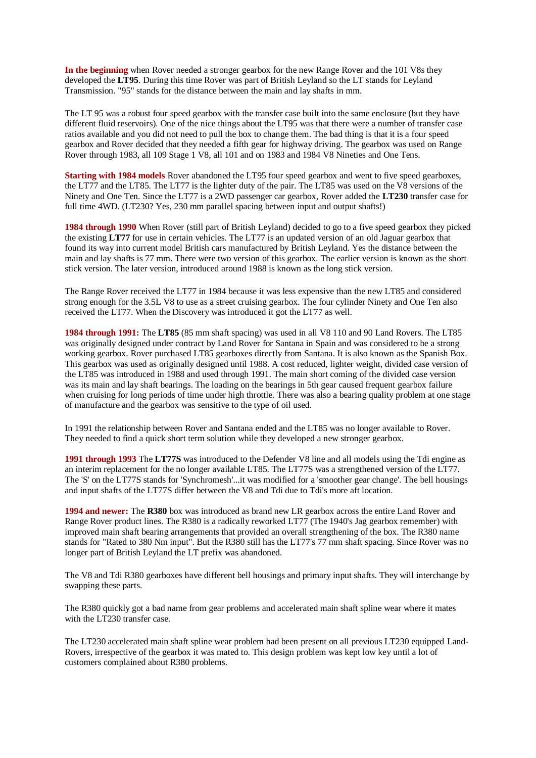**In the beginning** when Rover needed a stronger gearbox for the new Range Rover and the 101 V8s they developed the **LT95**. During this time Rover was part of British Leyland so the LT stands for Leyland Transmission. "95" stands for the distance between the main and lay shafts in mm.

The LT 95 was a robust four speed gearbox with the transfer case built into the same enclosure (but they have different fluid reservoirs). One of the nice things about the LT95 was that there were a number of transfer case ratios available and you did not need to pull the box to change them. The bad thing is that it is a four speed gearbox and Rover decided that they needed a fifth gear for highway driving. The gearbox was used on Range Rover through 1983, all 109 Stage 1 V8, all 101 and on 1983 and 1984 V8 Nineties and One Tens.

**Starting with 1984 models** Rover abandoned the LT95 four speed gearbox and went to five speed gearboxes, the LT77 and the LT85. The LT77 is the lighter duty of the pair. The LT85 was used on the V8 versions of the Ninety and One Ten. Since the LT77 is a 2WD passenger car gearbox, Rover added the **LT230** transfer case for full time 4WD. (LT230? Yes, 230 mm parallel spacing between input and output shafts!)

**1984 through 1990** When Rover (still part of British Leyland) decided to go to a five speed gearbox they picked the existing **LT77** for use in certain vehicles. The LT77 is an updated version of an old Jaguar gearbox that found its way into current model British cars manufactured by British Leyland. Yes the distance between the main and lay shafts is 77 mm. There were two version of this gearbox. The earlier version is known as the short stick version. The later version, introduced around 1988 is known as the long stick version.

The Range Rover received the LT77 in 1984 because it was less expensive than the new LT85 and considered strong enough for the 3.5L V8 to use as a street cruising gearbox. The four cylinder Ninety and One Ten also received the LT77. When the Discovery was introduced it got the LT77 as well.

**1984 through 1991:** The **LT85** (85 mm shaft spacing) was used in all V8 110 and 90 Land Rovers. The LT85 was originally designed under contract by Land Rover for Santana in Spain and was considered to be a strong working gearbox. Rover purchased LT85 gearboxes directly from Santana. It is also known as the Spanish Box. This gearbox was used as originally designed until 1988. A cost reduced, lighter weight, divided case version of the LT85 was introduced in 1988 and used through 1991. The main short coming of the divided case version was its main and lay shaft bearings. The loading on the bearings in 5th gear caused frequent gearbox failure when cruising for long periods of time under high throttle. There was also a bearing quality problem at one stage of manufacture and the gearbox was sensitive to the type of oil used.

In 1991 the relationship between Rover and Santana ended and the LT85 was no longer available to Rover. They needed to find a quick short term solution while they developed a new stronger gearbox.

**1991 through 1993** The **LT77S** was introduced to the Defender V8 line and all models using the Tdi engine as an interim replacement for the no longer available LT85. The LT77S was a strengthened version of the LT77. The 'S' on the LT77S stands for 'Synchromesh'...it was modified for a 'smoother gear change'. The bell housings and input shafts of the LT77S differ between the V8 and Tdi due to Tdi's more aft location.

**1994 and newer:** The **R380** box was introduced as brand new LR gearbox across the entire Land Rover and Range Rover product lines. The R380 is a radically reworked LT77 (The 1940's Jag gearbox remember) with improved main shaft bearing arrangements that provided an overall strengthening of the box. The R380 name stands for "Rated to 380 Nm input". But the R380 still has the LT77's 77 mm shaft spacing. Since Rover was no longer part of British Leyland the LT prefix was abandoned.

The V8 and Tdi R380 gearboxes have different bell housings and primary input shafts. They will interchange by swapping these parts.

The R380 quickly got a bad name from gear problems and accelerated main shaft spline wear where it mates with the LT230 transfer case.

The LT230 accelerated main shaft spline wear problem had been present on all previous LT230 equipped Land-Rovers, irrespective of the gearbox it was mated to. This design problem was kept low key until a lot of customers complained about R380 problems.